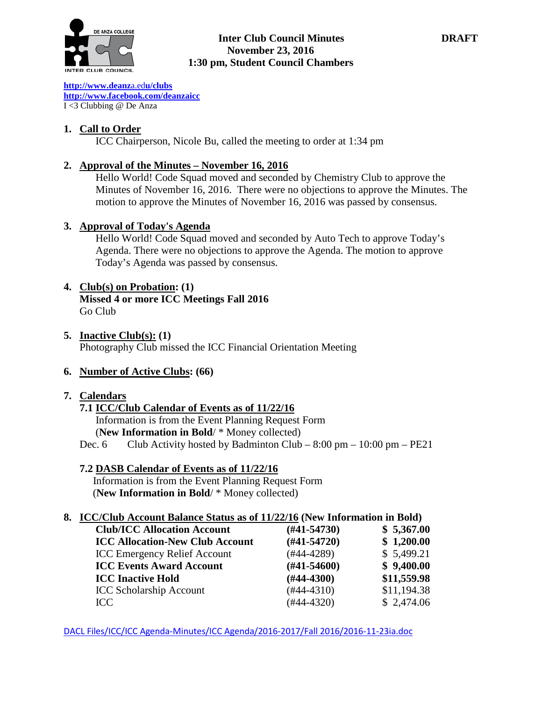

### **Inter Club Council Minutes DRAFT November 23, 2016 1:30 pm, Student Council Chambers**

**[http://www.deanz](http://www.deanza.edu/clubs)**[a.ed](http://www.deanza.edu/clubs)**[u/clubs](http://www.deanza.edu/clubs) [http://www.facebook.com/deanzaicc](http://www.facebook.com/home.php#!/group.php?gid=59034552686)** I <3 Clubbing @ De Anza

## **1. Call to Order**

ICC Chairperson, Nicole Bu, called the meeting to order at 1:34 pm

## **2. Approval of the Minutes – November 16, 2016**

Hello World! Code Squad moved and seconded by Chemistry Club to approve the Minutes of November 16, 2016. There were no objections to approve the Minutes. The motion to approve the Minutes of November 16, 2016 was passed by consensus.

### **3. Approval of Today's Agenda**

Hello World! Code Squad moved and seconded by Auto Tech to approve Today's Agenda. There were no objections to approve the Agenda. The motion to approve Today's Agenda was passed by consensus.

## **4. Club(s) on Probation: (1)**

**Missed 4 or more ICC Meetings Fall 2016** Go Club

**5. Inactive Club(s): (1)** Photography Club missed the ICC Financial Orientation Meeting

## **6. Number of Active Clubs: (66)**

### **7. Calendars**

## **7.1 ICC/Club Calendar of Events as of 11/22/16** Information is from the Event Planning Request Form (**New Information in Bold**/ \* Money collected)

Dec. 6 Club Activity hosted by Badminton Club –  $8:00 \text{ pm} - 10:00 \text{ pm} - \text{PE21}$ 

### **7.2 DASB Calendar of Events as of 11/22/16**

Information is from the Event Planning Request Form (**New Information in Bold**/ \* Money collected)

### **8. ICC/Club Account Balance Status as of 11/22/16 (New Information in Bold)**

| <b>Club/ICC Allocation Account</b>     | $(\#41 - 54730)$ | \$5,367.00  |
|----------------------------------------|------------------|-------------|
| <b>ICC Allocation-New Club Account</b> | $(H41-54720)$    | \$1,200.00  |
| <b>ICC Emergency Relief Account</b>    | (#44-4289)       | \$5,499.21  |
| <b>ICC Events Award Account</b>        | $(\#41 - 54600)$ | \$9,400.00  |
| <b>ICC Inactive Hold</b>               | $(\#44 - 4300)$  | \$11,559.98 |
| <b>ICC Scholarship Account</b>         | $(#44-4310)$     | \$11,194.38 |
| ICC                                    | $(#44-4320)$     | \$2,474.06  |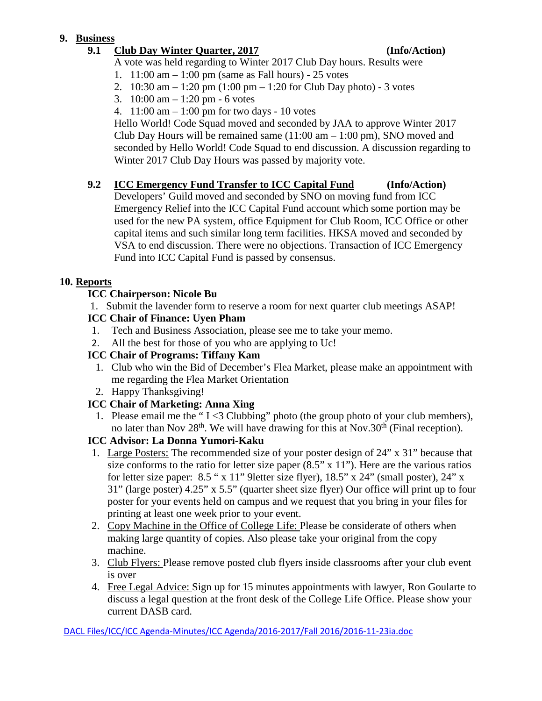## **9. Business**

## **9.1 Club Day Winter Quarter, 2017 (Info/Action)**

A vote was held regarding to Winter 2017 Club Day hours. Results were

- 1. 11:00 am 1:00 pm (same as Fall hours) 25 votes
- 2. 10:30 am 1:20 pm (1:00 pm 1:20 for Club Day photo) 3 votes
- 3. 10:00 am 1:20 pm 6 votes
- 4. 11:00 am 1:00 pm for two days 10 votes

Hello World! Code Squad moved and seconded by JAA to approve Winter 2017 Club Day Hours will be remained same  $(11:00 \text{ am} - 1:00 \text{ pm})$ , SNO moved and seconded by Hello World! Code Squad to end discussion. A discussion regarding to Winter 2017 Club Day Hours was passed by majority vote.

## **9.2 ICC Emergency Fund Transfer to ICC Capital Fund (Info/Action)**

Developers' Guild moved and seconded by SNO on moving fund from ICC Emergency Relief into the ICC Capital Fund account which some portion may be used for the new PA system, office Equipment for Club Room, ICC Office or other capital items and such similar long term facilities. HKSA moved and seconded by VSA to end discussion. There were no objections. Transaction of ICC Emergency Fund into ICC Capital Fund is passed by consensus.

# **10. Reports**

# **ICC Chairperson: Nicole Bu**

1. Submit the lavender form to reserve a room for next quarter club meetings ASAP!

# **ICC Chair of Finance: Uyen Pham**

- 1. Tech and Business Association, please see me to take your memo.
- 2. All the best for those of you who are applying to Uc!

# **ICC Chair of Programs: Tiffany Kam**

- 1. Club who win the Bid of December's Flea Market, please make an appointment with me regarding the Flea Market Orientation
- 2. Happy Thanksgiving!

# **ICC Chair of Marketing: Anna Xing**

1. Please email me the " $I < 3$  Clubbing" photo (the group photo of your club members), no later than Nov  $28<sup>th</sup>$ . We will have drawing for this at Nov.30<sup>th</sup> (Final reception).

# **ICC Advisor: La Donna Yumori-Kaku**

- 1. Large Posters: The recommended size of your poster design of 24" x 31" because that size conforms to the ratio for letter size paper  $(8.5" \times 11")$ . Here are the various ratios for letter size paper: 8.5 " x 11" 9letter size flyer), 18.5" x 24" (small poster), 24" x 31" (large poster) 4.25" x 5.5" (quarter sheet size flyer) Our office will print up to four poster for your events held on campus and we request that you bring in your files for printing at least one week prior to your event.
- 2. Copy Machine in the Office of College Life: Please be considerate of others when making large quantity of copies. Also please take your original from the copy machine.
- 3. Club Flyers: Please remove posted club flyers inside classrooms after your club event is over
- 4. Free Legal Advice: Sign up for 15 minutes appointments with lawyer, Ron Goularte to discuss a legal question at the front desk of the College Life Office. Please show your current DASB card.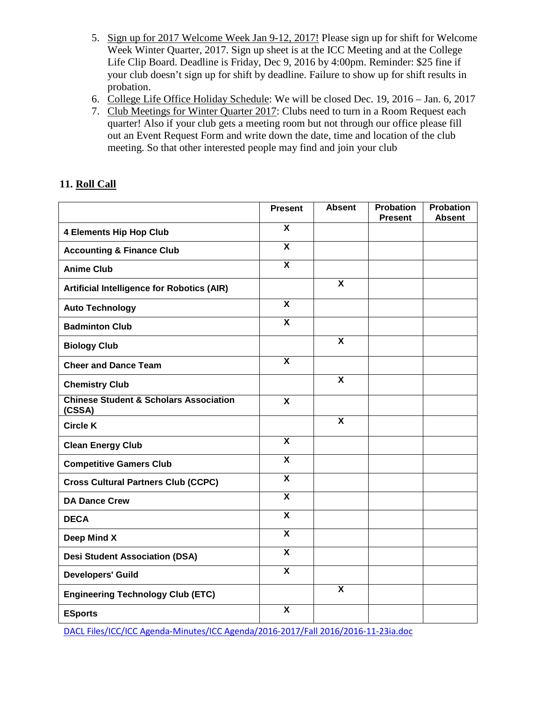- 5. Sign up for 2017 Welcome Week Jan 9-12, 2017! Please sign up for shift for Welcome Week Winter Quarter, 2017. Sign up sheet is at the ICC Meeting and at the College Life Clip Board. Deadline is Friday, Dec 9, 2016 by 4:00pm. Reminder: \$25 fine if your club doesn't sign up for shift by deadline. Failure to show up for shift results in probation.
- 6. College Life Office Holiday Schedule: We will be closed Dec. 19, 2016 Jan. 6, 2017
- 7. Club Meetings for Winter Quarter 2017: Clubs need to turn in a Room Request each quarter! Also if your club gets a meeting room but not through our office please fill out an Event Request Form and write down the date, time and location of the club meeting. So that other interested people may find and join your club

## **11. Roll Call**

|                                                             | <b>Present</b>            | <b>Absent</b>           | <b>Probation</b><br><b>Present</b> | <b>Probation</b><br><b>Absent</b> |
|-------------------------------------------------------------|---------------------------|-------------------------|------------------------------------|-----------------------------------|
| <b>4 Elements Hip Hop Club</b>                              | $\boldsymbol{\mathsf{x}}$ |                         |                                    |                                   |
| <b>Accounting &amp; Finance Club</b>                        | $\overline{\mathbf{x}}$   |                         |                                    |                                   |
| <b>Anime Club</b>                                           | $\overline{\mathbf{x}}$   |                         |                                    |                                   |
| <b>Artificial Intelligence for Robotics (AIR)</b>           |                           | $\overline{\mathbf{x}}$ |                                    |                                   |
| <b>Auto Technology</b>                                      | $\overline{\mathbf{x}}$   |                         |                                    |                                   |
| <b>Badminton Club</b>                                       | $\overline{\mathbf{x}}$   |                         |                                    |                                   |
| <b>Biology Club</b>                                         |                           | $\overline{\mathbf{x}}$ |                                    |                                   |
| <b>Cheer and Dance Team</b>                                 | $\overline{\mathbf{x}}$   |                         |                                    |                                   |
| <b>Chemistry Club</b>                                       |                           | $\overline{\mathbf{X}}$ |                                    |                                   |
| <b>Chinese Student &amp; Scholars Association</b><br>(CSSA) | $\boldsymbol{\mathsf{x}}$ |                         |                                    |                                   |
| <b>Circle K</b>                                             |                           | X                       |                                    |                                   |
| <b>Clean Energy Club</b>                                    | $\overline{\mathbf{x}}$   |                         |                                    |                                   |
| <b>Competitive Gamers Club</b>                              | $\overline{\mathbf{x}}$   |                         |                                    |                                   |
| <b>Cross Cultural Partners Club (CCPC)</b>                  | $\overline{\mathbf{x}}$   |                         |                                    |                                   |
| <b>DA Dance Crew</b>                                        | $\overline{\mathbf{x}}$   |                         |                                    |                                   |
| <b>DECA</b>                                                 | $\overline{\mathbf{x}}$   |                         |                                    |                                   |
| Deep Mind X                                                 | $\overline{\mathbf{x}}$   |                         |                                    |                                   |
| <b>Desi Student Association (DSA)</b>                       | $\boldsymbol{\mathsf{X}}$ |                         |                                    |                                   |
| <b>Developers' Guild</b>                                    | $\overline{\mathbf{x}}$   |                         |                                    |                                   |
| <b>Engineering Technology Club (ETC)</b>                    |                           | X                       |                                    |                                   |
| <b>ESports</b>                                              | $\overline{\mathbf{X}}$   |                         |                                    |                                   |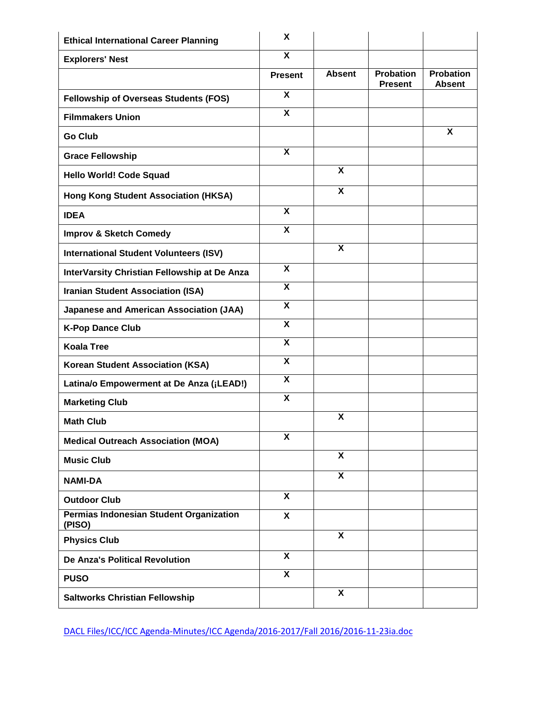| <b>Ethical International Career Planning</b>      | X                         |                           |                                    |                            |
|---------------------------------------------------|---------------------------|---------------------------|------------------------------------|----------------------------|
| <b>Explorers' Nest</b>                            | $\overline{\mathbf{x}}$   |                           |                                    |                            |
|                                                   | <b>Present</b>            | <b>Absent</b>             | <b>Probation</b><br><b>Present</b> | Probation<br><b>Absent</b> |
| <b>Fellowship of Overseas Students (FOS)</b>      | $\boldsymbol{\mathsf{X}}$ |                           |                                    |                            |
| <b>Filmmakers Union</b>                           | $\overline{\mathbf{x}}$   |                           |                                    |                            |
| <b>Go Club</b>                                    |                           |                           |                                    | X                          |
| <b>Grace Fellowship</b>                           | X                         |                           |                                    |                            |
| <b>Hello World! Code Squad</b>                    |                           | $\boldsymbol{\mathsf{X}}$ |                                    |                            |
| <b>Hong Kong Student Association (HKSA)</b>       |                           | X                         |                                    |                            |
| <b>IDEA</b>                                       | $\boldsymbol{\mathsf{X}}$ |                           |                                    |                            |
| <b>Improv &amp; Sketch Comedy</b>                 | X                         |                           |                                    |                            |
| <b>International Student Volunteers (ISV)</b>     |                           | X                         |                                    |                            |
| InterVarsity Christian Fellowship at De Anza      | X                         |                           |                                    |                            |
| <b>Iranian Student Association (ISA)</b>          | $\boldsymbol{\mathsf{X}}$ |                           |                                    |                            |
| <b>Japanese and American Association (JAA)</b>    | $\overline{\mathbf{x}}$   |                           |                                    |                            |
| <b>K-Pop Dance Club</b>                           | $\overline{\mathbf{x}}$   |                           |                                    |                            |
| <b>Koala Tree</b>                                 | $\overline{\mathbf{x}}$   |                           |                                    |                            |
| <b>Korean Student Association (KSA)</b>           | X                         |                           |                                    |                            |
| Latina/o Empowerment at De Anza (¡LEAD!)          | $\boldsymbol{\mathsf{X}}$ |                           |                                    |                            |
| <b>Marketing Club</b>                             | $\boldsymbol{\mathsf{X}}$ |                           |                                    |                            |
| <b>Math Club</b>                                  |                           | X                         |                                    |                            |
| <b>Medical Outreach Association (MOA)</b>         | $\overline{\mathbf{x}}$   |                           |                                    |                            |
| <b>Music Club</b>                                 |                           | X                         |                                    |                            |
| <b>NAMI-DA</b>                                    |                           | $\overline{\mathbf{X}}$   |                                    |                            |
| <b>Outdoor Club</b>                               | $\overline{\mathbf{x}}$   |                           |                                    |                            |
| Permias Indonesian Student Organization<br>(PISO) | $\boldsymbol{\mathsf{X}}$ |                           |                                    |                            |
| <b>Physics Club</b>                               |                           | X                         |                                    |                            |
| <b>De Anza's Political Revolution</b>             | $\boldsymbol{\mathsf{X}}$ |                           |                                    |                            |
| <b>PUSO</b>                                       | $\overline{\mathbf{x}}$   |                           |                                    |                            |
| <b>Saltworks Christian Fellowship</b>             |                           | X                         |                                    |                            |